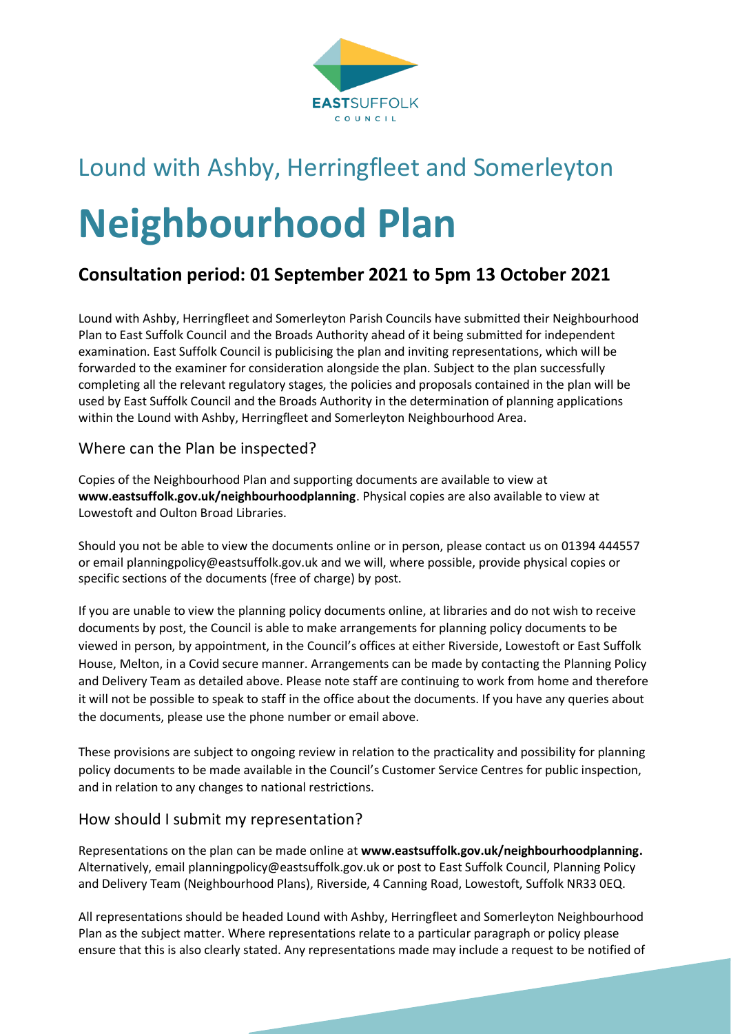

# Lound with Ashby, Herringfleet and Somerleyton **Neighbourhood Plan**

## **Consultation period: 01 September 2021 to 5pm 13 October 2021**

Lound with Ashby, Herringfleet and Somerleyton Parish Councils have submitted their Neighbourhood Plan to East Suffolk Council and the Broads Authority ahead of it being submitted for independent examination. East Suffolk Council is publicising the plan and inviting representations, which will be forwarded to the examiner for consideration alongside the plan. Subject to the plan successfully completing all the relevant regulatory stages, the policies and proposals contained in the plan will be used by East Suffolk Council and the Broads Authority in the determination of planning applications within the Lound with Ashby, Herringfleet and Somerleyton Neighbourhood Area.

#### Where can the Plan be inspected?

Copies of the Neighbourhood Plan and supporting documents are available to view at **[www.eastsuffolk.gov.uk/neighbourhoodplanning](http://www.eastsuffolk.gov.uk/neighbourhoodplanning)**. Physical copies are also available to view at Lowestoft and Oulton Broad Libraries.

Should you not be able to view the documents online or in person, please contact us on 01394 444557 or email [planningpolicy@eastsuffolk.gov.uk](mailto:planningpolicy@eastsuffolk.gov.uk) and we will, where possible, provide physical copies or specific sections of the documents (free of charge) by post.

If you are unable to view the planning policy documents online, at libraries and do not wish to receive documents by post, the Council is able to make arrangements for planning policy documents to be viewed in person, by appointment, in the Council's offices at either Riverside, Lowestoft or East Suffolk House, Melton, in a Covid secure manner. Arrangements can be made by contacting the Planning Policy and Delivery Team as detailed above. Please note staff are continuing to work from home and therefore it will not be possible to speak to staff in the office about the documents. If you have any queries about the documents, please use the phone number or email above.

These provisions are subject to ongoing review in relation to the practicality and possibility for planning policy documents to be made available in the Council's Customer Service Centres for public inspection, and in relation to any changes to national restrictions.

#### How should I submit my representation?

Representations on the plan can be made online at **[www.eastsuffolk.gov.uk/neighbourhoodplanning.](http://www.eastsuffolk.gov.uk/neighbourhoodplanning)**  Alternatively, email [planningpolicy@eastsuffolk.gov.uk](mailto:planningpolicy@eastsuffolk.gov.uk) or post to East Suffolk Council, Planning Policy and Delivery Team (Neighbourhood Plans), Riverside, 4 Canning Road, Lowestoft, Suffolk NR33 0EQ.

All representations should be headed Lound with Ashby, Herringfleet and Somerleyton Neighbourhood Plan as the subject matter. Where representations relate to a particular paragraph or policy please ensure that this is also clearly stated. Any representations made may include a request to be notified of